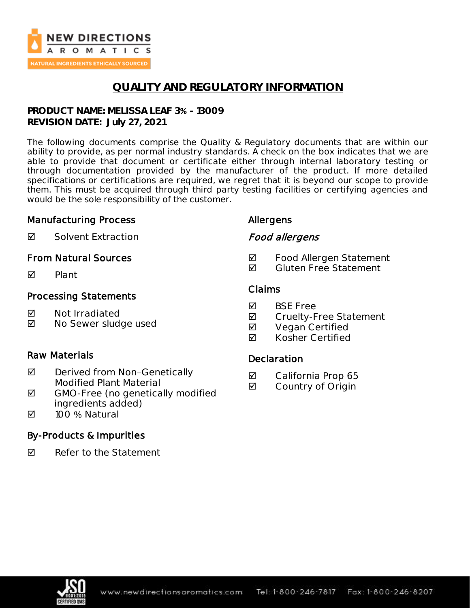

# **QUALITY AND REGULATORY INFORMATION**

**PRODUCT NAME: MELISSA LEAF 3% - 13009 REVISION DATE: July 27, 2021**

The following documents comprise the Quality & Regulatory documents that are within our ability to provide, as per normal industry standards. A check on the box indicates that we are able to provide that document or certificate either through internal laboratory testing or through documentation provided by the manufacturer of the product. If more detailed specifications or certifications are required, we regret that it is beyond our scope to provide them. This must be acquired through third party testing facilities or certifying agencies and would be the sole responsibility of the customer.

### Manufacturing Process

Allergens

Food allergens

**Ø** Solvent Extraction

### From Natural Sources

 $\nabla$  Plant

### Processing Statements

- **M** Not Irradiated
- **Ø** No Sewer sludge used

### Raw Materials

- $\boxtimes$  Derived from Non-Genetically Modified Plant Material
- $\boxtimes$  GMO-Free (no genetically modified ingredients added)
- 100 % Natural

### By-Products & Impurities

 $\boxtimes$  Refer to the Statement

# Claims

- **M** BSF Free
- **Ø** Cruelty-Free Statement

**Ø** Food Allergen Statement **Ø** Gluten Free Statement

- **Ø** Vegan Certified
- **Ø** Kosher Certified

### **Declaration**

- **☑** California Prop 65
- **☑** Country of Origin

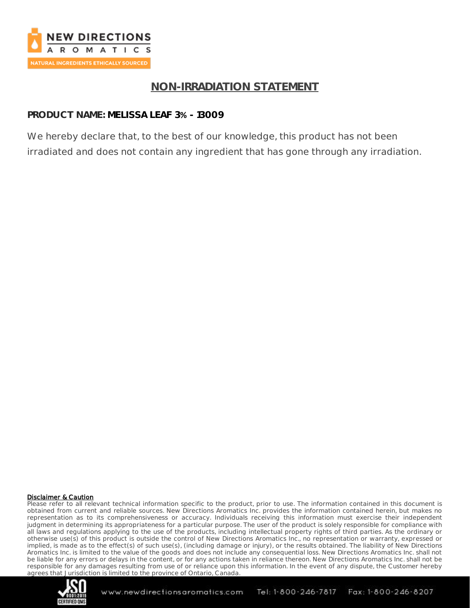

# **NON-IRRADIATION STATEMENT**

### **PRODUCT NAME: MELISSA LEAF 3% - 13009**

We hereby declare that, to the best of our knowledge, this product has not been irradiated and does not contain any ingredient that has gone through any irradiation.

#### Disclaimer & Caution

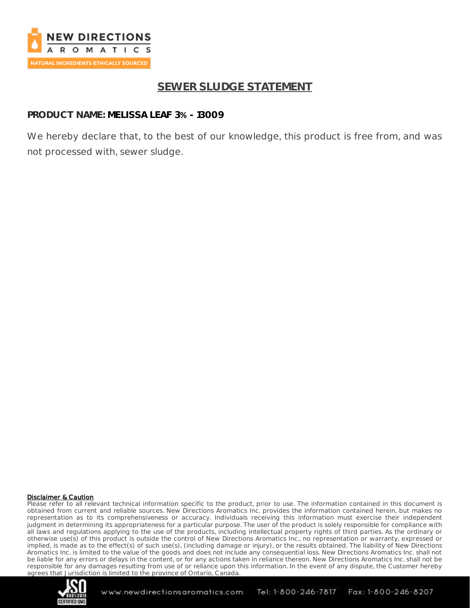

# **SEWER SLUDGE STATEMENT**

### **PRODUCT NAME: MELISSA LEAF 3% - 13009**

We hereby declare that, to the best of our knowledge, this product is free from, and was not processed with, sewer sludge.

#### Disclaimer & Caution

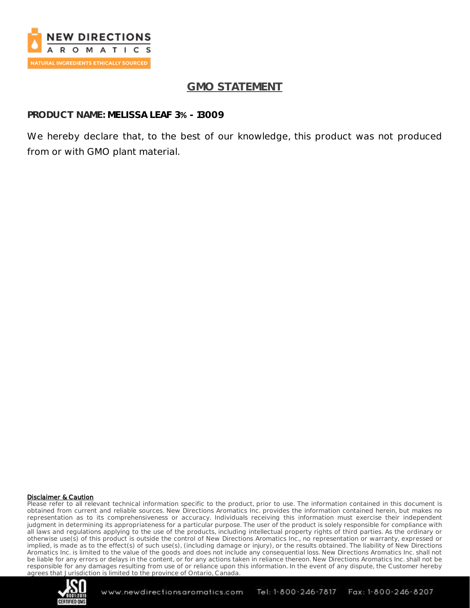

# **GMO STATEMENT**

### **PRODUCT NAME: MELISSA LEAF 3% - 13009**

We hereby declare that, to the best of our knowledge, this product was not produced from or with GMO plant material.

#### Disclaimer & Caution

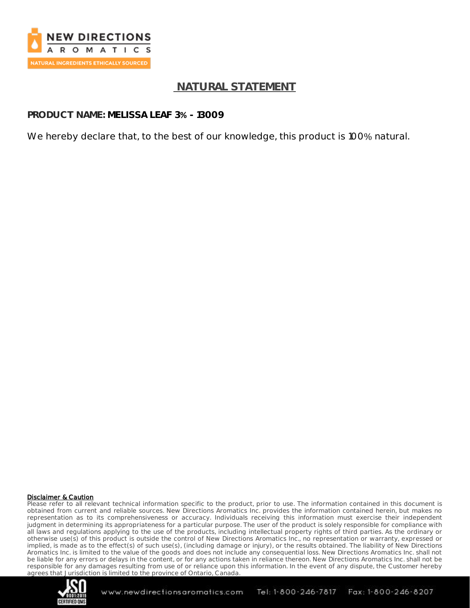

## **NATURAL STATEMENT**

**PRODUCT NAME: MELISSA LEAF 3% - 13009**

We hereby declare that, to the best of our knowledge, this product is 100% natural.

#### Disclaimer & Caution

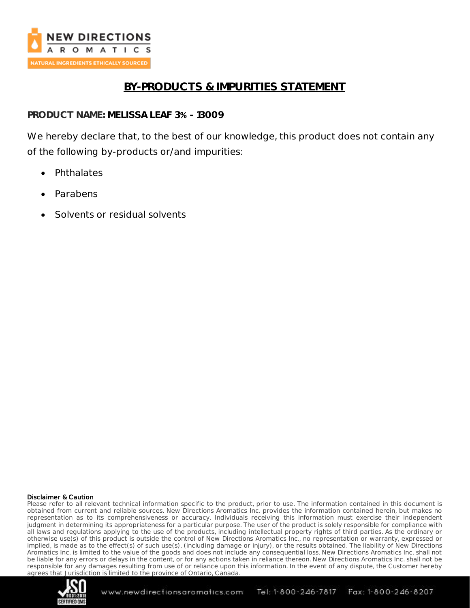

# **BY-PRODUCTS & IMPURITIES STATEMENT**

**PRODUCT NAME: MELISSA LEAF 3% - 13009**

We hereby declare that, to the best of our knowledge, this product does not contain any of the following by-products or/and impurities:

- Phthalates
- Parabens
- Solvents or residual solvents

#### Disclaimer & Caution

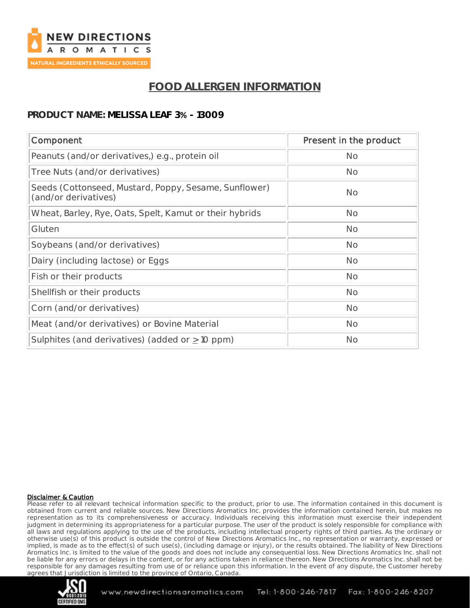

# **FOOD ALLERGEN INFORMATION**

### **PRODUCT NAME: MELISSA LEAF 3% - 13009**

| Component                                                                     | Present in the product |
|-------------------------------------------------------------------------------|------------------------|
| Peanuts (and/or derivatives,) e.g., protein oil                               | <b>No</b>              |
| Tree Nuts (and/or derivatives)                                                | <b>No</b>              |
| Seeds (Cottonseed, Mustard, Poppy, Sesame, Sunflower)<br>(and/or derivatives) | No                     |
| Wheat, Barley, Rye, Oats, Spelt, Kamut or their hybrids                       | <b>No</b>              |
| Gluten                                                                        | <b>No</b>              |
| Soybeans (and/or derivatives)                                                 | <b>No</b>              |
| Dairy (including lactose) or Eggs                                             | <b>No</b>              |
| Fish or their products                                                        | <b>No</b>              |
| Shellfish or their products                                                   | <b>No</b>              |
| Corn (and/or derivatives)                                                     | <b>No</b>              |
| Meat (and/or derivatives) or Bovine Material                                  | <b>No</b>              |
| Sulphites (and derivatives) (added or $\geq$ 10 ppm)                          | <b>No</b>              |

#### Disclaimer & Caution

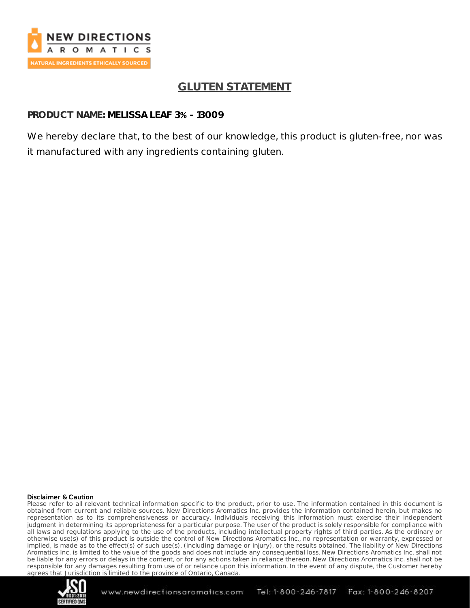

# **GLUTEN STATEMENT**

### **PRODUCT NAME: MELISSA LEAF 3% - 13009**

We hereby declare that, to the best of our knowledge, this product is gluten-free, nor was it manufactured with any ingredients containing gluten.

#### Disclaimer & Caution

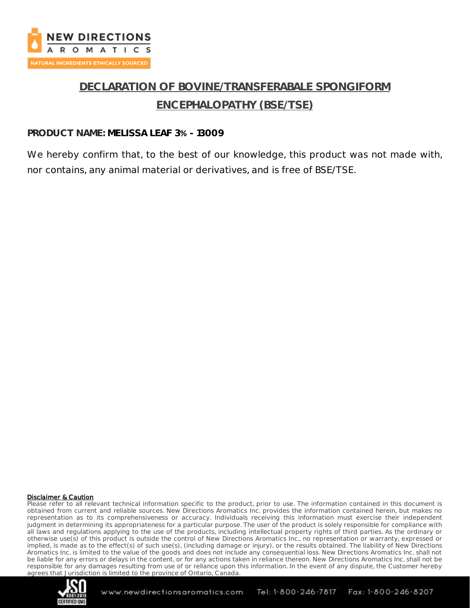

# **DECLARATION OF BOVINE/TRANSFERABALE SPONGIFORM ENCEPHALOPATHY (BSE/TSE)**

### **PRODUCT NAME: MELISSA LEAF 3% - 13009**

We hereby confirm that, to the best of our knowledge, this product was not made with, nor contains, any animal material or derivatives, and is free of BSE/TSE.

#### Disclaimer & Caution

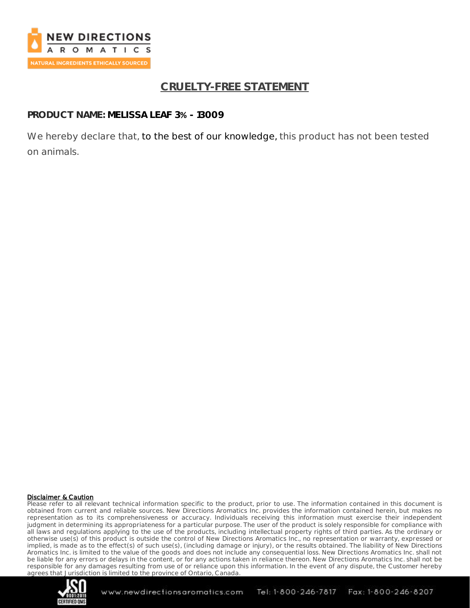

# **CRUELTY-FREE STATEMENT**

### **PRODUCT NAME: MELISSA LEAF 3% - 13009**

We hereby declare that, to the best of our knowledge, this product has not been tested on animals.

#### Disclaimer & Caution

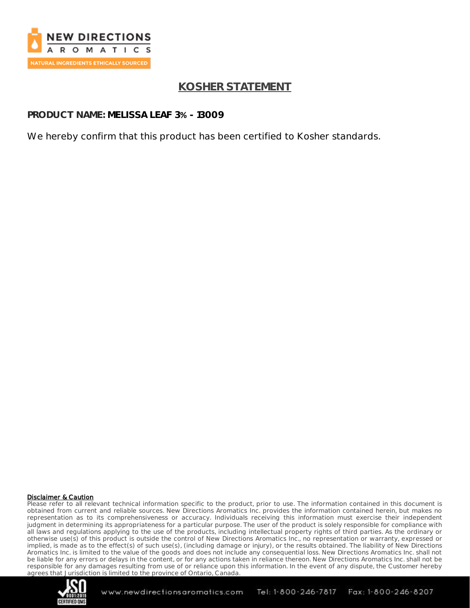

# **KOSHER STATEMENT**

**PRODUCT NAME: MELISSA LEAF 3% - 13009**

We hereby confirm that this product has been certified to Kosher standards.

#### Disclaimer & Caution

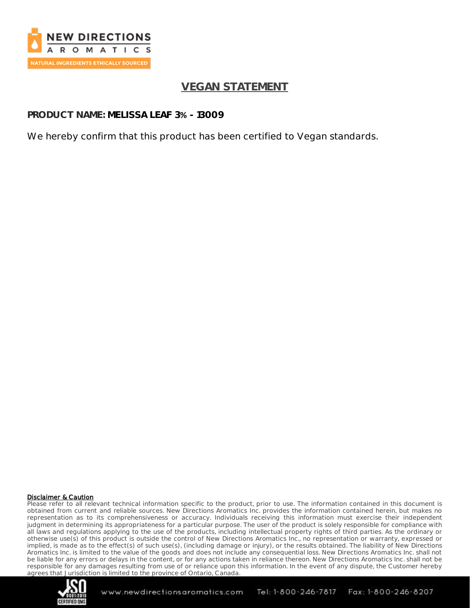

# **VEGAN STATEMENT**

**PRODUCT NAME: MELISSA LEAF 3% - 13009**

We hereby confirm that this product has been certified to Vegan standards.

#### Disclaimer & Caution

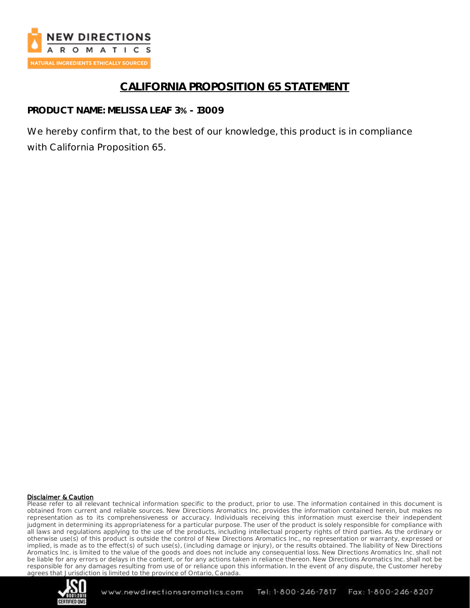

# **CALIFORNIA PROPOSITION 65 STATEMENT**

**PRODUCT NAME: MELISSA LEAF 3% - 13009**

We hereby confirm that, to the best of our knowledge, this product is in compliance with California Proposition 65.

#### Disclaimer & Caution